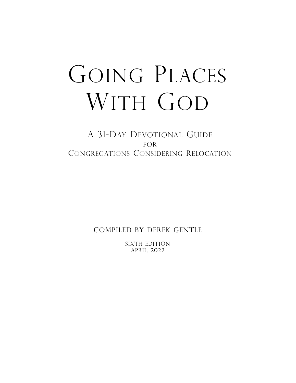# GOING PLACES WITH GOD

A 31-DAY DEVOTIONAL GUIDE FOR CONGREGATIONS CONSIDERING RELOCATION

COMPILED BY DEREK GENTLE

SIXTH EDITIONAPRIL, 2022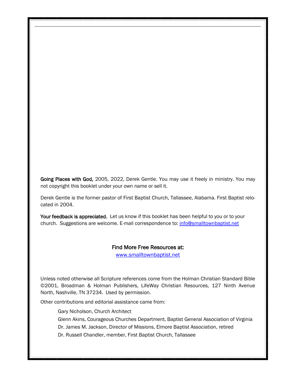Going Places with God, 2005, 2022, Derek Gentle. You may use it freely in ministry. You may not copyright this booklet under your own name or sell it.

Derek Gentle is the former pastor of First Baptist Church, Tallassee, Alabama. First Baptist relocated in 2004.

Your feedback is appreciated. Let us know if this booklet has been helpful to you or to your church. Suggestions are welcome. E-mail correspondence to: info@smalltownbaptist.net

#### Find More Free Resources at:

[www.smalltownbaptist.net](http://www.smalltownbaptist.net)

Unless noted otherwise all Scripture references come from the Holman Christian Standard Bible ©2001, Broadman & Holman Publishers, LifeWay Christian Resources, 127 Ninth Avenue North, Nashville, TN 37234. Used by permission.

Other contributions and editorial assistance came from:

Gary Nicholson, Church Architect

Glenn Akins, Courageous Churches Department, Baptist General Association of Virginia

Dr. James M. Jackson, Director of Missions, Elmore Baptist Association, retired

Dr. Russell Chandler, member, First Baptist Church, Tallassee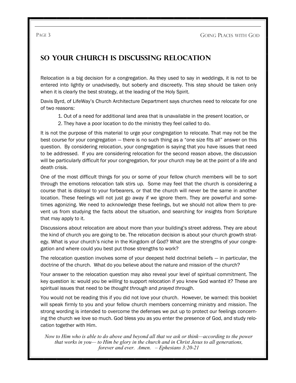# **So Your Church is Discussing Relocation**

Relocation is a big decision for a congregation. As they used to say in weddings, it is not to be entered into lightly or unadvisedly, but soberly and discreetly. This step should be taken only when it is clearly the best strategy, at the leading of the Holy Spirit.

Davis Byrd, of LifeWay's Church Architecture Department says churches need to relocate for one of two reasons:

- 1. Out of a need for additional land area that is unavailable in the present location, or
- 2. They have a poor location to do the ministry they feel called to do.

It is not the purpose of this material to urge your congregation to relocate. That may not be the best course for your congregation — there is no such thing as a "one size fits all" answer on this question. By considering relocation, your congregation is saying that you have issues that need to be addressed. If you are considering relocation for the second reason above, the discussion will be particularly difficult for your congregation, for your church may be at the point of a life and death crisis.

One of the most difficult things for you or some of your fellow church members will be to sort through the emotions relocation talk stirs up. Some may feel that the church is considering a course that is disloyal to your forbearers, or that the church will never be the same in another location. These feelings will not just go away if we ignore them. They are powerful and sometimes agonizing. We need to acknowledge these feelings, but we should not allow them to prevent us from studying the facts about the situation, and searching for insights from Scripture that may apply to it.

Discussions about relocation are about more than your building's street address. They are about the kind of church you are going to be. The relocation decision is about your church growth strategy. What is your church's niche in the Kingdom of God? What are the strengths of your congregation and where could you best put those strengths to work?

The relocation question involves some of your deepest held doctrinal beliefs — in particular, the doctrine of the church. What do you believe about the nature and mission of the church?

Your answer to the relocation question may also reveal your level of spiritual commitment. The key question is: would you be *willing* to support relocation if you knew God wanted it? These are spiritual issues that need to be *thought through* and *prayed through*.

You would not be reading this if you did not love your church. However, be warned: this booklet will speak firmly to you and your fellow church members concerning ministry and mission. The strong wording is intended to overcome the defenses we put up to protect our feelings concerning the church we love so much. God bless you as you enter the presence of God, and study relocation together with Him.

*Now to Him who is able to do above and beyond all that we ask or think—according to the power that works in you— to Him be glory in the church and in Christ Jesus to all generations, forever and ever. Amen. – Ephesians 3:20-21*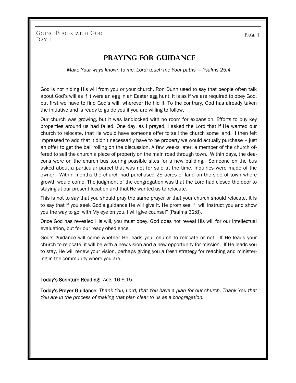PAGE 4

## **Praying for Guidance**

*Make Your ways known to me, Lord; teach me Your paths -- Psalms 25:4* 

God is not hiding His will from you or your church. Ron Dunn used to say that people often talk about God's will as if it were an egg in an Easter egg hunt. It is as if we are required to obey God, but first we have to find God's will, wherever He hid it. To the contrary, God has already taken the initiative and is ready to guide you if you are willing to follow.

Our church was growing, but it was landlocked with no room for expansion. Efforts to buy key properties around us had failed. One day, as I prayed, I asked the Lord that if He wanted our church to relocate, that He would have someone offer to sell the church some land. I then felt impressed to add that it didn't necessarily have to be property we would actually purchase – just an offer to get the ball rolling on the discussion. A few weeks later, a member of the church offered to sell the church a piece of property on the main road through town. Within days, the deacons were on the church bus touring possible sites for a new building. Someone on the bus asked about a particular parcel that was not for sale at the time. Inquiries were made of the owner. Within months the church had purchased 25 acres of land on the side of town where growth would come. The judgment of the congregation was that the Lord had closed the door to staying at our present location and that He wanted us to relocate.

This is not to say that you should pray the same prayer or that your church should relocate. It is to say that if you seek God's guidance He will give it. He promises, "I will instruct you and show you the way to go; with My eye on you, I will give counsel" (Psalms 32:8).

Once God has revealed His will, you must obey. God does not reveal His will for our intellectual evaluation, but for our ready obedience.

God's guidance will come whether He leads your church to relocate or not. If He leads your church to relocate, it will be with a new vision and a new opportunity for mission. If He leads you to stay, He will renew your vision, perhaps giving you a fresh strategy for reaching and ministering in the community where you are.

#### Today's Scripture Reading: Acts 16:6-15

Today's Prayer Guidance: *Thank You, Lord, that You have a plan for our church. Thank You that You are in the process of making that plan clear to us as a congregation.*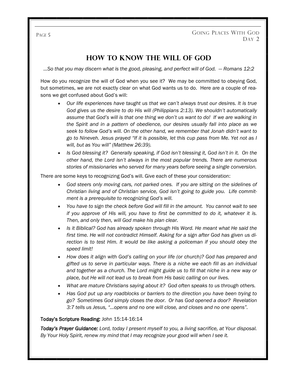## **How to Know The Will Of God**

*...So that you may discern what is the good, pleasing, and perfect will of God. — Romans 12:2*

How do you recognize the will of God when you see it? We may be committed to obeying God, but sometimes, we are not exactly clear on what God wants us to do. Here are a couple of reasons we get confused about God's will:

- *Our life experiences have taught us that we can't always trust our desires. It is true God gives us the desire to do His will (Philippians 2:13). We shouldn't automatically assume that God's will is that one thing we don't us want to do! If we are walking in the Spirit and in a pattern of obedience, our desires usually fall into place as we seek to follow God's will. On the other hand, we remember that Jonah didn't want to go to Nineveh. Jesus prayed "If it is possible, let this cup pass from Me. Yet not as I will, but as You will" (Matthew 26:39).*
- *Is God blessing it? Generally speaking, if God isn't blessing it, God isn't in it. On the other hand, the Lord isn't always in the most popular trends. There are numerous stories of missionaries who served for many years before seeing a single conversion.*

There are some keys to recognizing God's will. Give each of these your consideration:

- *God steers only moving cars, not parked ones. If you are sitting on the sidelines of Christian living and of Christian service, God isn't going to guide you. Life commitment is a prerequisite to recognizing God's will.*
- *You have to sign the check before God will fill in the amount. You cannot wait to see if you approve of His will, you have to first be committed to do it, whatever it is. Then, and only then, will God make his plan clear.*
- *Is it Biblical? God has already spoken through His Word. He meant what He said the first time. He will not contradict Himself. Asking for a sign after God has given us direction is to test Him. It would be like asking a policeman if you should obey the speed limit!*
- *How does it align with God's calling on your life (or church)? God has prepared and gifted us to serve in particular ways. There is a niche we each fill as an individual and together as a church. The Lord might guide us to fill that niche in a new way or place, but He will not lead us to break from His basic calling on our lives.*
- *What are mature Christians saying about it? God often speaks to us through others.*
- *Has God put up any roadblocks or barriers to the direction you have been trying to go? Sometimes God simply closes the door. Or has God opened a door? Revelation 3:7 tells us Jesus, "...opens and no one will close, and closes and no one opens".*

#### Today's Scripture Reading: John 15:14-16:14

*Today's Prayer Guidance: Lord, today I present myself to you, a living sacrifice, at Your disposal. By Your Holy Spirit, renew my mind that I may recognize your good will when I see it.*

#### PAGE 5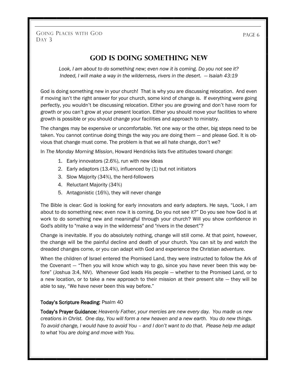**God is Doing Something New**

*Look, I am about to do something new; even now it is coming. Do you not see it? Indeed, I will make a way in the wilderness, rivers in the desert.*  $-$  *<i>Isaiah 43:19* 

God is doing something new in your church! That is why you are discussing relocation. And even if moving isn't the right answer for your church, some kind of change is. If everything were going perfectly, you wouldn't be discussing relocation. Either you are growing and don't have room for growth or you can't grow at your present location. Either you should move your facilities to where growth is possible or you should change your facilities and approach to ministry.

The changes may be expensive or uncomfortable. Yet one way or the other, big steps need to be taken. You cannot continue doing things the way you are doing them — and please God. It is obvious that change must come. The problem is that we all hate change, don't we?

In *The Monday Morning Mission*, Howard Hendricks lists five attitudes toward change:

- 1. Early innovators (2.6%), run with new ideas
- 2. Early adaptors (13.4%), influenced by (1) but not initiators
- 3. Slow Majority (34%), the herd-followers
- 4. Reluctant Majority (34%)
- 5. Antagonistic (16%), they will never change

The Bible is clear: God is looking for early innovators and early adapters. He says, "Look, I am about to do something new; even now it is coming. Do you not see it?" Do you see how God is at work to do something new and meaningful through your church? Will you show confidence in God's ability to "make a way in the wilderness" and "rivers in the desert"?

Change is inevitable. If you do absolutely nothing, change will still come. At that point, however, the change will be the painful decline and death of your church. You can sit by and watch the dreaded changes come, or you can adapt with God and experience the Christian adventure.

When the children of Israel entered the Promised Land, they were instructed to follow the Ark of the Covenant — "Then you will know which way to go, since you have never been this way before" (Joshua 3:4, NIV). Whenever God leads His people — whether to the Promised Land, or to a new location, or to take a new approach to their mission at their present site — they will be able to say, "We have never been this way before."

#### Today's Scripture Reading: Psalm 40

Today's Prayer Guidance: *Heavenly Father, your mercies are new every day. You made us new creations in Christ. One day, You will form a new heaven and a new earth. You do new things. To avoid change, I would have to avoid You – and I don't want to do that. Please help me adapt to what You are doing and move with You.*

PAGE<sub>6</sub>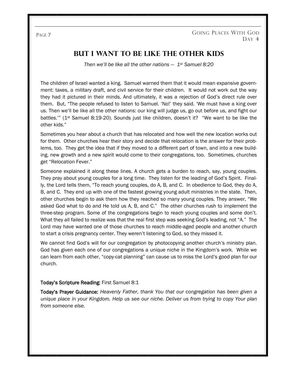## **But I Want to Be Like the Other Kids**

*Then we'll be like all the other nations — 1st Samuel 8:20*

The children of Israel wanted a king. Samuel warned them that it would mean expansive government: taxes, a military draft, and civil service for their children. It would not work out the way they had it pictured in their minds. And ultimately, it was a rejection of God's direct rule over them. But, "The people refused to listen to Samuel. 'No!' they said. 'We must have a king over us. Then we'll be like all the other nations: our king will judge us, go out before us, and fight our battles.'" (1st Samuel 8:19-20). Sounds just like children, doesn't it? "We want to be like the other kids."

Sometimes you hear about a church that has relocated and how well the new location works out for them. Other churches hear their story and decide that relocation is the answer for their problems, too. They get the idea that if they moved to a different part of town, and into a new building, new growth and a new spirit would come to their congregations, too. Sometimes, churches get "Relocation Fever."

Someone explained it along these lines. A church gets a burden to reach, say, young couples. They pray about young couples for a long time. They listen for the leading of God's Spirit. Finally, the Lord tells them, "To reach young couples, do A, B, and C. In obedience to God, they do A, B, and C. They end up with one of the fastest growing young adult ministries in the state. Then, other churches begin to ask them how they reached so many young couples. They answer, "We asked God what to do and He told us A, B, and C." The other churches rush to implement the three-step program. Some of the congregations begin to reach young couples and some don't. What they all failed to realize was that the real first step was seeking God's leading, not "A." The Lord may have wanted one of those churches to reach middle-aged people and another church to start a crisis pregnancy center. They weren't listening to God, so they missed it.

We cannot find God's will for our congregation by photocopying another church's ministry plan. God has given each one of our congregations a unique niche in the Kingdom's work. While we can learn from each other, "copy-cat planning" can cause us to miss the Lord's good plan for our church.

#### Today's Scripture Reading: First Samuel 8:1

Today's Prayer Guidance: *Heavenly Father, thank You that our congregation has been given a unique place in your Kingdom. Help us see our niche. Deliver us from trying to copy Your plan from someone else.*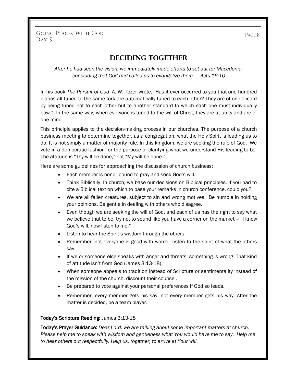# **Deciding Together**

*After he had seen the vision, we immediately made efforts to set out for Macedonia, concluding that God had called us to evangelize them. — Acts 16:10*

In his book *The Pursuit of God*, A. W. Tozer wrote, "Has it ever occurred to you that one hundred pianos all tuned to the same fork are automatically tuned to each other? They are of one accord by being tuned not to each other but to another standard to which each one must individually bow." In the same way, when everyone is tuned to the will of Christ, they are at unity and are of one mind.

This principle applies to the decision-making process in our churches. The purpose of a church business meeting to determine together, as a congregation, what the Holy Spirit is leading us to do. It is not simply a matter of majority rule. In this kingdom, we are seeking the rule of God. We vote in a democratic fashion for the purpose of clarifying what we understand His leading to be. The attitude is "Thy will be done," not "My will be done."

Here are some guidelines for approaching the discussion of church business:

- Each member is honor-bound to pray and seek God's will.
- Think Biblically. In church, we base our decisions on Biblical principles. If you had to cite a Biblical text on which to base your remarks in church conference, could you?
- We are all fallen creatures, subject to sin and wrong motives. Be humble in holding your opinions. Be gentle in dealing with others who disagree.
- Even though we are seeking the will of God, and each of us has the right to say what we believe that to be, try not to sound like you have a corner on the market – "I know God's will, now listen to me."
- Listen to hear the Spirit's wisdom through the others.
- Remember, not everyone is good with words. Listen to the spirit of what the others say.
- If we or someone else speaks with anger and threats, something is wrong. That kind of attitude isn't from God (James 3:13-18).
- When someone appeals to tradition instead of Scripture or sentimentality instead of the mission of the church, discount their counsel.
- Be prepared to vote against your personal preferences if God so leads.
- Remember, every member gets his say, not every member gets his way. After the matter is decided, be a team player.

#### Today's Scripture Reading: James 3:13-18

Today's Prayer Guidance: *Dear Lord, we are talking about some important matters at church. Please help me to speak with wisdom and gentleness what You would have me to say. Help me to hear others out respectfully. Help us, together, to arrive at Your will.*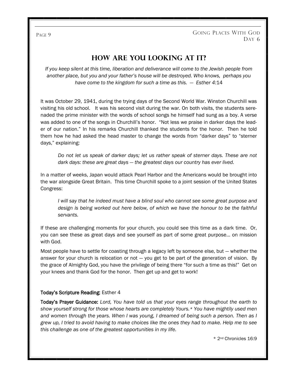# **How Are You Looking at It?**

*If you keep silent at this time, liberation and deliverance will come to the Jewish people from another place, but you and your father's house will be destroyed. Who knows, perhaps you have come to the kingdom for such a time as this. — Esther 4:*14

It was October 29, 1941, during the trying days of the Second World War. Winston Churchill was visiting his old school. It was his second visit during the war. On both visits, the students serenaded the prime minister with the words of school songs he himself had sung as a boy. A verse was added to one of the songs in Churchill's honor. "Not less we praise in darker days the leader of our nation." In his remarks Churchill thanked the students for the honor. Then he told them how he had asked the head master to change the words from "darker days" to "sterner days," explaining:

*Do not let us speak of darker days; let us rather speak of sterner days. These are not dark days: these are great days — the greatest days our country has ever lived.* 

In a matter of weeks, Japan would attack Pearl Harbor and the Americans would be brought into the war alongside Great Britain. This time Churchill spoke to a joint session of the United States Congress:

*I will say that he indeed must have a blind soul who cannot see some great purpose and design is being worked out here below, of which we have the honour to be the faithful servants.*

If these are challenging moments for your church, you could see this time as a dark time. Or, you can see these as great days and see yourself as part of some great purpose… on mission with God.

Most people have to settle for coasting through a legacy left by someone else, but — whether the answer for your church is relocation or not — you get to be part of the generation of vision. By the grace of Almighty God, you have the privilege of being there "for such a time as this!" Get on your knees and thank God for the honor. Then get up and get to work!

#### Today's Scripture Reading: Esther 4

Today's Prayer Guidance: *Lord, You have told us that your eyes range throughout the earth to show yourself strong for those whose hearts are completely Yours.\* You have mightily used men and women through the years. When I was young, I dreamed of being such a person. Then as I grew up, I tried to avoid having to make choices like the ones they had to make. Help me to see this challenge as one of the greatest opportunities in my life.*

\* 2nd Chronicles 16:9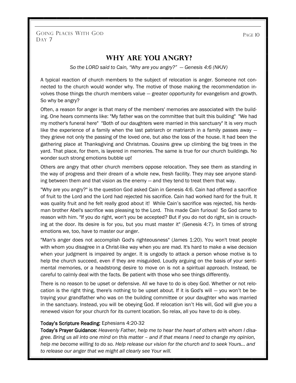PAGE 10

### **Why Are You Angry?**

*So the LORD said to Cain, "Why are you angry?" — Genesis 4:6 (NKJV)*

A typical reaction of church members to the subject of relocation is anger. Someone not connected to the church would wonder why. The motive of those making the recommendation involves those things the church members value — greater opportunity for evangelism and growth. So why be angry?

Often, a reason for anger is that many of the members' memories are associated with the building. One hears comments like: "My father was on the committee that built this building" "We had my mother's funeral here" "Both of our daughters were married in this sanctuary" It is very much like the experience of a family when the last patriarch or matriarch in a family passes away they grieve not only the passing of the loved one, but also the loss of the house. It had been the gathering place at Thanksgiving and Christmas. Cousins grew up climbing the big trees in the yard. That place, for them, is layered in memories. The same is true for our church buildings. No wonder such strong emotions bubble up!

Others are angry that other church members oppose relocation. They see them as standing in the way of progress and their dream of a whole new, fresh facility. They may see anyone standing between them and that vision as the enemy — and they tend to treat them that way.

"Why are you angry?" is the question God asked Cain in Genesis 4:6. Cain had offered a sacrifice of fruit to the Lord and the Lord had rejected his sacrifice. Cain had worked hard for the fruit. It was quality fruit and he felt really good about it! While Cain's sacrifice was rejected, his herdsman brother Abel's sacrifice was pleasing to the Lord. This made Cain furious! So God came to reason with him. "If you do right, won't you be accepted? But if you do not do right, sin is crouching at the door. Its desire is for you, but you must master it" (Genesis 4:7). In times of strong emotions we, too, have to master our anger.

"Man's anger does not accomplish God's righteousness" (James 1:20). You won't treat people with whom you disagree in a Christ-like way when you are mad. It's hard to make a wise decision when your judgment is impaired by anger. It is ungodly to attack a person whose motive is to help the church succeed, even if they are misguided. Loudly arguing on the basis of your sentimental memories, or a headstrong desire to move on is not a spiritual approach. Instead, be careful to calmly deal with the facts. Be patient with those who see things differently.

There is no reason to be upset or defensive. All we have to do is obey God. Whether or not relocation is the right thing, there's nothing to be upset about. If it is God's will — you won't be betraying your grandfather who was on the building committee or your daughter who was married in the sanctuary. Instead, you will be obeying God. If relocation isn't His will, God will give you a renewed vision for your church for its current location. So relax, all you have to do is obey.

#### Today's Scripture Reading: Ephesians 4:20-32

Today's Prayer Guidance: *Heavenly Father, help me to hear the heart of others with whom I disagree. Bring us all into one mind on this matter – and if that means I need to change my opinion, help me become willing to do so. Help release our vision for the church and to seek Yours… and to release our anger that we might all clearly see Your will.*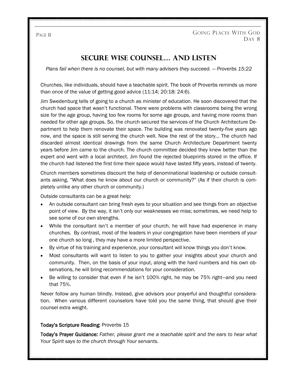# **Secure Wise Counsel… And Listen**

*Plans fail when there is no counsel, but with many advisers they succeed. — Proverbs 15:22* 

Churches, like individuals, should have a teachable spirit. The book of Proverbs reminds us more than once of the value of getting good advice (11:14; 20:18: 24:6).

Jim Swedenburg tells of going to a church as minister of education. He soon discovered that the church had space that wasn't functional. There were problems with classrooms being the wrong size for the age group, having too few rooms for some age groups, and having more rooms than needed for other age groups. So, the church secured the services of the Church Architecture Department to help them renovate their space. The building was renovated twenty-five years ago now, and the space is still serving the church well. Now the rest of the story… The church had discarded almost identical drawings from the same Church Architecture Department twenty years before Jim came to the church. The church committee decided they knew better than the expert and went with a local architect. Jim found the rejected blueprints stored in the office. If the church had listened the first time their space would have lasted fifty years, instead of twenty.

Church members sometimes discount the help of denominational leadership or outside consultants asking, "What does he know about our church or community?" (As if their church is completely unlike any other church or community.)

Outside consultants can be a great help:

- An outside consultant can bring fresh eyes to your situation and see things from an objective point of view. By the way, it isn't only our weaknesses we miss; sometimes, we need help to see some of our own strengths.
- While the consultant isn't a member of your church, he will have had experience in many churches. By contrast, most of the leaders in your congregation have been members of your one church so long , they may have a more limited perspective.
- By virtue of his training and experience, your consultant will know things you don't know.
- Most consultants will want to listen to you to gather your insights about your church and community. Then, on the basis of your input, along with the hard numbers and his own observations, he will bring recommendations for your consideration.
- Be willing to consider that even if he isn't 100% right, he may be 75% right—and you need that 75%.

Never follow any human blindly. Instead, give advisors your prayerful and thoughtful consideration. When various different counselors have told you the same thing, that should give their counsel extra weight.

#### Today's Scripture Reading: Proverbs 15

Today's Prayer Guidance: *Father, please grant me a teachable spirit and the ears to hear what Your Spirit says to the church through Your servants.*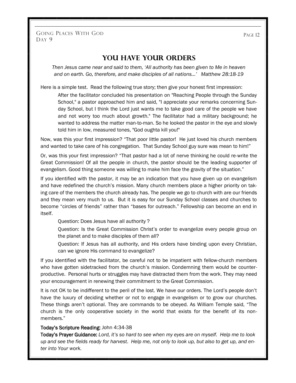PAGE 12

## **You Have Your Orders**

*Then Jesus came near and said to them, 'All authority has been given to Me in heaven and on earth. Go, therefore, and make disciples of all nations…' Matthew 28:18-19*

Here is a simple test. Read the following true story; then give your honest first impression:

After the facilitator concluded his presentation on "Reaching People through the Sunday School," a pastor approached him and said, "I appreciate your remarks concerning Sunday School, but I think the Lord just wants me to take good care of the people we have and not worry too much about growth." The facilitator had a military background; he wanted to address the matter man-to-man. So he looked the pastor in the eye and slowly told him in low, measured tones, "God oughta kill you!"

Now, was this your first impression? "That poor little pastor! He just loved his church members and wanted to take care of his congregation. That Sunday School guy sure was mean to him!"

Or, was this your first impression? "That pastor had a lot of nerve thinking he could re-write the Great Commission! Of all the people in church, the pastor should be the leading supporter of evangelism. Good thing someone was willing to make him face the gravity of the situation."

If you identified with the pastor, it may be an indication that you have given up on evangelism and have redefined the church's mission. Many church members place a higher priority on taking care of the members the church already has. The people we go to church with are our friends and they mean very much to us. But it is easy for our Sunday School classes and churches to become "circles of friends" rather than "bases for outreach." Fellowship can become an end in itself.

Question: Does Jesus have all authority ?

Question: Is the Great Commission Christ's order to evangelize every people group on the planet and to make disciples of them all?

Question: If Jesus has all authority, and His orders have binding upon every Christian, can we ignore His command to evangelize?

If you identified with the facilitator, be careful not to be impatient with fellow-church members who have gotten sidetracked from the church's mission. Condemning them would be counterproductive. Personal hurts or struggles may have distracted them from the work. They may need your encouragement in renewing their commitment to the Great Commission.

It is not OK to be indifferent to the peril of the lost. We have our orders. The Lord's people don't have the luxury of deciding whether or not to engage in evangelism or to grow our churches. These things aren't optional. They are commands to be obeyed. As William Temple said, "The church is the only cooperative society in the world that exists for the benefit of its nonmembers."

#### Today's Scripture Reading: John 4:34-38

Today's Prayer Guidance: *Lord, it's so hard to see when my eyes are on myself. Help me to look up and see the fields ready for harvest*. *Help me, not only to look up, but also to get up, and enter into Your work.*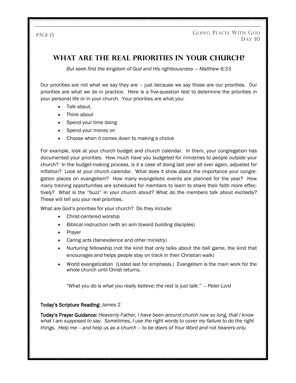# **What are the Real Priorities in Your Church?**

*But seek first the kingdom of God and His righteousness — Matthew 6:33*

Our priorities are not what we say they are – just because we *say* those are our priorities. Our priorities are what we do in practice. Here is a five-question test to determine the priorities in your personal life or in your church. Your priorities are what you:

- Talk about.
- Think about
- Spend your time doing
- Spend your money on
- Choose when it comes down to making a choice

For example, look at your church budget and church calendar. In them, your congregation has documented your priorities. How much have you budgeted for ministries to people outside your church? In the budget-making process, is it a case of doing last year all over again, adjusted for inflation? Look at your church calendar. What does it show about the importance your congregation places on evangelism? How many evangelistic events are planned for the year? How many training opportunities are scheduled for members to learn to share their faith more effectively? What is the "buzz" in your church about? What do the members talk about excitedly? These will tell you your real priorities.

What are God's priorities for your church? Do they include:

- Christ-centered worship
- Biblical instruction (with an aim toward building disciples)
- Prayer
- Caring acts (benevolence and other ministry)
- Nurturing fellowship (not the kind that only talks about the ball game, the kind that encourages and helps people stay on track in their Christian walk)
- World evangelization (Listed last for emphasis.) Evangelism is the main work for the whole church until Christ returns.

*"What you do is what you really believe; the rest is just talk." -- Peter Lord*

#### Today's Scripture Reading: James 2

Today's Prayer Guidance: *Heavenly Father, I have been around church now so long, that I know what I am supposed to say. Sometimes, I use the right words to cover my failure to do the right things. Help me -- and help us as a church – to be doers of Your Word and not hearers only.*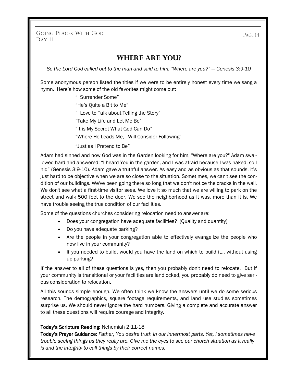GOING PLACES WITH GOD DAY 11

## **Where Are You?**

*So the Lord God called out to the man and said to him, "Where are you?" — Genesis 3:9-10*

Some anonymous person listed the titles if we were to be entirely honest every time we sang a hymn. Here's how some of the old favorites might come out:

> "I Surrender Some" "He's Quite a Bit to Me" "I Love to Talk about Telling the Story" "Take My Life and Let Me Be" "It is My Secret What God Can Do" "Where He Leads Me, I Will Consider Following" "Just as I Pretend to Be"

Adam had sinned and now God was in the Garden looking for him, "Where are you?" Adam swallowed hard and answered: "I heard You in the garden, and I was afraid because I was naked, so I hid" (Genesis 3:9-10). Adam gave a truthful answer. As easy and as obvious as that sounds, it's just hard to be objective when we are so close to the situation. Sometimes, we can't see the condition of our buildings. We've been going there so long that we don't notice the cracks in the wall. We don't see what a first-time visitor sees. We love it so much that we are willing to park on the street and walk 500 feet to the door. We see the neighborhood as it was, more than it is. We have trouble seeing the true condition of our facilities.

Some of the questions churches considering relocation need to answer are:

- Does your congregation have adequate facilities? (Quality and quantity)
- Do you have adequate parking?
- Are the people in your congregation able to effectively evangelize the people who now live in your community?
- If you needed to build, would you have the land on which to build it... without using up parking?

If the answer to all of these questions is yes, then you probably don't need to relocate. But if your community is transitional or your facilities are landlocked, you probably do need to give serious consideration to relocation.

All this sounds simple enough. We often think we know the answers until we do some serious research. The demographics, square footage requirements, and land use studies sometimes surprise us. We should never ignore the hard numbers. Giving a complete and accurate answer to all these questions will require courage and integrity.

#### Today's Scripture Reading: Nehemiah 2:11-18

Today's Prayer Guidance: *Father, You desire truth in our innermost parts. Yet, I sometimes have trouble seeing things as they really are. Give me the eyes to see our church situation as it really is and the integrity to call things by their correct names.* 

PAGE 14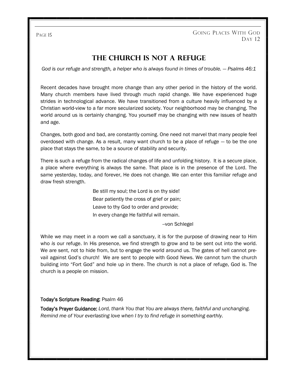# **The Church is Not a Refuge**

God is our refuge and strength, a helper who is always found in times of trouble. — Psalms 46:1

Recent decades have brought more change than any other period in the history of the world. Many church members have lived through much rapid change. We have experienced huge strides in technological advance. We have transitioned from a culture heavily influenced by a Christian world-view to a far more secularized society. Your neighborhood may be changing. The world around us is certainly changing. You yourself may be changing with new issues of health and age.

Changes, both good and bad, are constantly coming. One need not marvel that many people feel overdosed with change. As a result, many want church to be a place of refuge — to be the one place that stays the same, to be a source of stability and security.

There is such a refuge from the radical changes of life and unfolding history. It is a secure place, a place where everything is always the same. That place is in the presence of the Lord. The same yesterday, today, and forever, He does not change. We can enter this familiar refuge and draw fresh strength.

> Be still my soul; the Lord is on thy side! Bear patiently the cross of grief or pain; Leave to thy God to order and provide; In every change He faithful will remain.

> > --von Schlegel

While we may meet in a room we call a sanctuary, it is for the purpose of drawing near to Him who *is* our refuge. In His presence, we find strength to grow and to be sent out into the world. We are sent, not to hide from, but to engage the world around us. The gates of hell cannot prevail against God's church! We are sent to people with Good News. We cannot turn the church building into "Fort God" and hole up in there. The church is not a place of refuge, God is. The church is a people on mission.

#### Today's Scripture Reading: Psalm 46

Today's Prayer Guidance: *Lord, thank You that You are always there, faithful and unchanging. Remind me of Your everlasting love when I try to find refuge in something earthly.*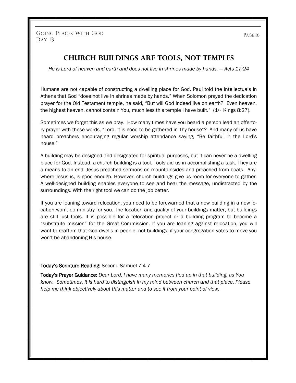## **Church Buildings are Tools, Not Temples**

*He is Lord of heaven and earth and does not live in shrines made by hands.*  $-$  *Acts 17:24* 

Humans are not capable of constructing a dwelling place for God. Paul told the intellectuals in Athens that God "does not live in shrines made by hands." When Solomon prayed the dedication prayer for the Old Testament temple, he said, "But will God indeed live on earth? Even heaven, the highest heaven, cannot contain You, much less this temple I have built." (1<sup>st</sup> Kings 8:27).

Sometimes we forget this as *we* pray. How many times have you heard a person lead an offertory prayer with these words, "Lord, it is good to be gathered in Thy house"? And many of us have heard preachers encouraging regular worship attendance saying, "Be faithful in the Lord's house."

A building may be designed and designated for spiritual purposes, but it can never be a dwelling place for God. Instead, a church building is a tool. Tools aid us in accomplishing a task. They are a means to an end. Jesus preached sermons on mountainsides and preached from boats. Anywhere Jesus is, is good enough. However, church buildings give us room for everyone to gather. A well-designed building enables everyone to see and hear the message, undistracted by the surroundings. With the right tool we can do the job better.

If you are leaning toward relocation, you need to be forewarned that a new building in a new location won't do ministry for you. The location and quality of your buildings matter, but buildings are still just tools. It is possible for a relocation project or a building program to become a "substitute mission" for the Great Commission. If you are leaning against relocation, you will want to reaffirm that God dwells in people, not buildings; if your congregation votes to move you won't be abandoning His house.

#### Today's Scripture Reading: Second Samuel 7:4-7

Today's Prayer Guidance: *Dear Lord, I have many memories tied up in that building, as You know. Sometimes, it is hard to distinguish in my mind between church and that place. Please help me think objectively about this matter and to see it from your point of view.*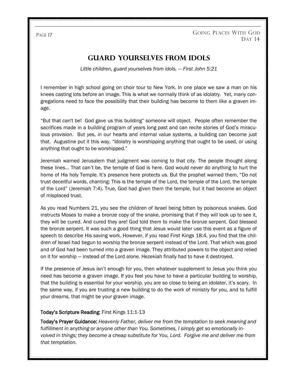GOING PLACES WITH GOD D<sub>AY</sub> 14

# **Guard Yourselves from Idols**

*Little children, guard yourselves from idols. — First John 5:21*

I remember in high school going on choir tour to New York. In one place we saw a man on his knees casting lots before an image. This is what we normally think of as idolatry. Yet, many congregations need to face the possibility that their building has become to them like a graven image.

"But that can't be! God gave us this building" someone will object. People often remember the sacrifices made in a building program of years long past and can recite stories of God's miraculous provision. But yes, in our hearts and internal value systems, a building can become just that. Augustine put it this way, "Idolatry is worshipping anything that ought to be used, or using anything that ought to be worshipped."

Jeremiah warned Jerusalem that judgment was coming to that city. The people thought along these lines… That can't be, the temple of God is here. God would never do anything to hurt the home of His holy Temple. It's presence here protects us. But the prophet warned them, "Do not trust deceitful words, chanting: This is the temple of the Lord, the temple of the Lord, the temple of the Lord" (Jeremiah 7:4). True, God had given them the temple, but it had become an object of misplaced trust.

As you read Numbers 21, you see the children of Israel being bitten by poisonous snakes. God instructs Moses to make a bronze copy of the snake, promising that if they will look up to see it, they will be cured. And cured they are! God told them to make the bronze serpent. God blessed the bronze serpent. It was such a good thing that Jesus would later use this event as a figure of speech to describe His saving work. However, if you read First Kings 18:4, you find that the children of Israel had begun to worship the bronze serpent instead of the Lord. That which was good and of God had been turned into a graven image. They attributed powers to the object and relied on it for worship — instead of the Lord alone. Hezekiah finally had to have it destroyed.

If the presence of Jesus isn't enough for you, then whatever supplement to Jesus you think you need has become a graven image. If you feel you have to have a particular building to worship, that the building is essential for your worship, you are so close to being an idolater, it's scary. In the same way, if you are trusting a new building to do the work of ministry for you, and to fulfill your dreams, that might be your graven image.

#### Today's Scripture Reading: First Kings 11:1-13

Today's Prayer Guidance: *Heavenly Father, deliver me from the temptation to seek meaning and fulfillment in anything or anyone other than You. Sometimes, I simply get so emotionally involved in things; they become a cheap substitute for You, Lord. Forgive me and deliver me from that temptation.*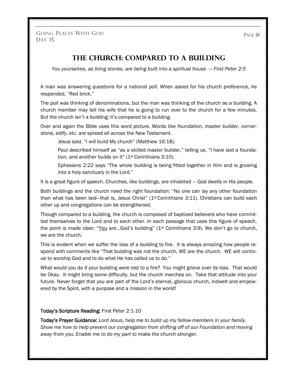GOING PLACES WITH GOD DAY 15

PAGE 18

## **The Church: Compared to a Building**

*You yourselves, as living stones, are being built into a spiritual house*  $-$  *<i>First Peter 2:5* 

A man was answering questions for a national poll. When asked for his church preference, he responded, "Red brick."

The poll was thinking of denominations, but the man was thinking of the church as a building. A church member may tell his wife that he is going to run over to the church for a few minutes. But the church isn't a building; it's compared to a building.

Over and again the Bible uses this word picture. Words like *foundation, master builder, cornerstone, edify,* etc. are spread all across the New Testament.

Jesus said, "I will build My church" (Matthew 16:18).

Paul described himself as "as a skilled master builder," telling us, "I have laid a foundation, and another builds on it" (1st Corinthians 3:10).

Ephesians 2:22 says "The whole building is being fitted together in Him and is growing into a holy sanctuary in the Lord."

It is a great figure of speech. Churches, like buildings, are inhabited — God dwells in His people.

Both buildings and the church need the right foundation: "No one can lay any other foundation than what has been laid—that is, Jesus Christ" ( $1<sup>st</sup>$  Corinthians 3:11). Christians can build each other up and congregations can be strengthened.

Though compared to a building, the church is composed of baptized believers who have committed themselves to the Lord and to each other. In each passage that uses this figure of speech, the point is made clear: "You are...God's building"  $(1<sup>st</sup>$  Corinthians 3:9). We don't go to church, we *are* the church.

This is evident when we suffer the loss of a building to fire. It is always amazing how people respond with comments like "That building was not the church, WE are the church. WE will continue to worship God and to do what He has called us to do."

What would you do if your building were lost to a fire? You might grieve over its loss. That would be Okay. It might bring some difficulty, but the church marches on. Take that attitude into your future. Never forget that you are part of the Lord's eternal, glorious church, indwelt and empowered by the Spirit, with a purpose and a mission in the world!

#### Today's Scripture Reading: First Peter 2:1-10

Today's Prayer Guidance: *Lord Jesus, help me to build up my fellow-members in your family. Show me how to help prevent our congregation from shifting off of our Foundation and moving away from you. Enable me to do my part to make the church stronger.*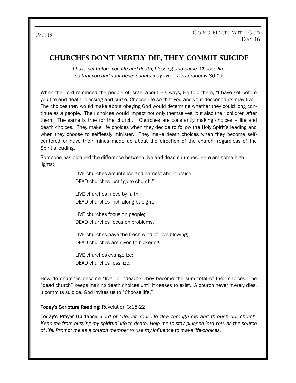## **Churches Don't Merely Die, They Commit Suicide**

*I have set before you life and death, blessing and curse. Choose life so that you and your descendants may live — Deuteronomy 30:19*

When the Lord reminded the people of Israel about His ways, He told them, "I have set before you life and death, blessing and curse. Choose life so that you and your descendants may live." The choices they would make about obeying God would determine whether they could long continue as a people. Their choices would impact not only themselves, but also their children after them. The same is true for the church. Churches are constantly making choices – life and death choices. They make life choices when they decide to follow the Holy Spirit's leading and when they choose to selflessly minister. They make death choices when they become selfcentered or have their minds made up about the direction of the church, regardless of the Spirit's leading.

Someone has pictured the difference between live and dead churches. Here are some highlights:

> LIVE churches are intense and earnest about praise; DEAD churches just "go to church."

LIVE churches move by faith; DEAD churches inch along by sight.

LIVE churches focus on people; DEAD churches focus on problems.

LIVE churches have the fresh wind of love blowing; DEAD churches are given to bickering.

LIVE churches evangelize; DEAD churches fossilize.

How do churches become "live" or "dead"? They become the sum total of their choices. The "dead church" keeps making death choices until it ceases to exist. A church never merely dies, it commits suicide. God invites us to "Choose life."

#### Today's Scripture Reading: Revelation 3:15-22

Today's Prayer Guidance: *Lord of Life, let Your life flow through me and through our church. Keep me from busying my spiritual life to death. Help me to stay plugged into You, as the source of life. Prompt me as a church member to use my influence to make life-choices.*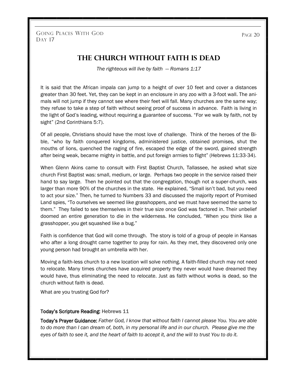PAGE 20

## **The Church Without Faith is Dead**

*The righteous will live by faith — Romans 1:17*

It is said that the African impala can jump to a height of over 10 feet and cover a distances greater than 30 feet. Yet, they can be kept in an enclosure in any zoo with a 3-foot wall. The animals will not jump if they cannot see where their feet will fall. Many churches are the same way; they refuse to take a step of faith without seeing proof of success in advance. Faith is living in the light of God's leading, without requiring a guarantee of success. "For we walk by faith, not by sight" (2nd Corinthians 5:7).

Of all people, Christians should have the most love of challenge. Think of the heroes of the Bible, "who by faith conquered kingdoms, administered justice, obtained promises, shut the mouths of lions, quenched the raging of fire, escaped the edge of the sword, gained strength after being weak, became mighty in battle, and put foreign armies to flight" (Hebrews 11:33-34).

When Glenn Akins came to consult with First Baptist Church, Tallassee, he asked what size church First Baptist was: small, medium, or large. Perhaps two people in the service raised their hand to say large. Then he pointed out that the congregation, though not a super-church, was larger than more 90% of the churches in the state. He explained, "Small isn't bad, but you need to act your size." Then, he turned to Numbers 33 and discussed the majority report of Promised Land spies, "To ourselves we seemed like grasshoppers, and we must have seemed the same to them." They failed to see themselves in their true size once God was factored in. Their unbelief doomed an entire generation to die in the wilderness. He concluded, "When you think like a grasshopper, you get squashed like a bug."

Faith is confidence that God will come through. The story is told of a group of people in Kansas who after a long drought came together to pray for rain. As they met, they discovered only one young person had brought an umbrella with her.

Moving a faith-less church to a new location will solve nothing. A faith-filled church may not need to relocate. Many times churches have acquired property they never would have dreamed they would have, thus eliminating the need to relocate. Just as faith without works is dead, so the church without faith is dead.

What are you trusting God for?

#### Today's Scripture Reading: Hebrews 11

Today's Prayer Guidance: *Father God, I know that without faith I cannot please You. You are able to do more than I can dream of, both, in my personal life and in our church. Please give me the eyes of faith to see it, and the heart of faith to accept it, and the will to trust You to do it.*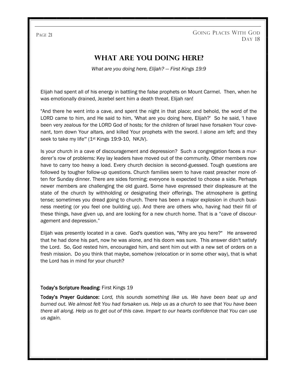GOING PLACES WITH GOD D<sub>AY</sub> 18

# **What Are You Doing Here?**

*What are you doing here, Elijah? — First Kings 19:9*

Elijah had spent all of his energy in battling the false prophets on Mount Carmel. Then, when he was emotionally drained, Jezebel sent him a death threat. Elijah ran!

"And there he went into a cave, and spent the night in that place; and behold, the word of the LORD came to him, and He said to him, 'What are you doing here, Elijah?' So he said, 'I have been very zealous for the LORD God of hosts; for the children of Israel have forsaken Your covenant, torn down Your altars, and killed Your prophets with the sword. I alone am left; and they seek to take my life"" (1<sup>st</sup> Kings 19:9-10, NKJV).

Is your church in a cave of discouragement and depression? Such a congregation faces a murderer's row of problems: Key lay leaders have moved out of the community. Other members now have to carry too heavy a load. Every church decision is second-guessed. Tough questions are followed by tougher follow-up questions. Church families seem to have roast preacher more often for Sunday dinner. There are sides forming; everyone is expected to choose a side. Perhaps newer members are challenging the old guard. Some have expressed their displeasure at the state of the church by withholding or designating their offerings. The atmosphere is getting tense; sometimes you dread going to church. There has been a major explosion in church business meeting (or you feel one building up). And there are others who, having had their fill of these things, have given up, and are looking for a new church home. That is a "cave of discouragement and depression."

Elijah was presently located in a cave. God's question was, "Why are you here?" He answered that he had done his part, now he was alone, and his doom was sure. This answer didn't satisfy the Lord. So, God rested him, encouraged him, and sent him out with a new set of orders on a fresh mission. Do you think that maybe, somehow (relocation or in some other way), that is what the Lord has in mind for your church?

#### Today's Scripture Reading: First Kings 19

Today's Prayer Guidance: *Lord, this sounds something like us. We have been beat up and burned out. We almost felt You had forsaken us. Help us as a church to see that You have been there all along. Help us to get out of this cave. Impart to our hearts confidence that You can use us again.*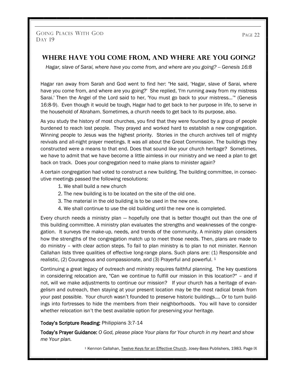## **Where Have You Come From, And Where Are You Going?**

*Hagar, slave of Sarai, where have you come from, and where are you going? -- Genesis 16:8*

Hagar ran away from Sarah and God went to find her: "He said, 'Hagar, slave of Sarai, where have you come from, and where are you going?' She replied, 'I'm running away from my mistress Sarai.' Then the Angel of the Lord said to her, 'You must go back to your mistress…'" (Genesis 16:8-9). Even though it would be tough, Hagar had to get back to her purpose in life, to serve in the household of Abraham. Sometimes, a church needs to get back to its purpose, also.

As you study the history of most churches, you find that they were founded by a group of people burdened to reach lost people. They prayed and worked hard to establish a new congregation. Winning people to Jesus was the highest priority. Stories in the church archives tell of mighty revivals and all-night prayer meetings. It was all about the Great Commission. The buildings they constructed were a means to that end. Does that sound like your church heritage? Sometimes, we have to admit that we have become a little aimless in our ministry and we need a plan to get back on track. Does your congregation need to make plans to minister again?

A certain congregation had voted to construct a new building. The building committee, in consecutive meetings passed the following resolutions:

- 1. We shall build a new church
- 2. The new building is to be located on the site of the old one.
- 3. The material in the old building is to be used in the new one.
- 4. We shall continue to use the old building until the new one is completed.

Every church needs a ministry plan — hopefully one that is better thought out than the one of this building committee. A ministry plan evaluates the strengths and weaknesses of the congregation. It surveys the make-up, needs, and trends of the community. A ministry plan considers how the strengths of the congregation match up to meet those needs. Then, plans are made to do ministry – with clear action steps. To fail to plan ministry is to plan to not minister. Kennon Callahan lists three qualities of effective long-range plans. Such plans are: (1) Responsible and realistic, (2) Courageous and compassionate, and (3) Prayerful and powerful. <sup>1</sup>

Continuing a great legacy of outreach and ministry requires faithful planning. The key questions in considering relocation are, "Can we continue to fulfill our mission in this location?" – and if not, will we make adjustments to continue our mission? If your church has a heritage of evangelism and outreach, then staying at your present location may be the most radical break from your past possible. Your church wasn't founded to preserve historic buildings…. Or to turn buildings into fortresses to hide the members from their neighborhoods. You will have to consider whether relocation isn't the best available option for preserving your heritage.

#### Today's Scripture Reading: Philippians 3:7-14

Today's Prayer Guidance: *O God, please place Your plans for Your church in my heart and show me Your plan.* 

<sup>1</sup> Kennon Callahan, Twelve Keys for an Effective Church, Josey-Bass Publishers, 1983. Page IX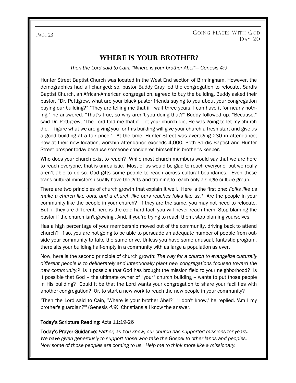# **Where Is Your Brother?**

*Then the Lord said to Cain, "Where is your brother Abel"— Genesis 4:9*

Hunter Street Baptist Church was located in the West End section of Birmingham. However, the demographics had all changed; so, pastor Buddy Gray led the congregation to relocate. Sardis Baptist Church, an African-American congregation, agreed to buy the building. Buddy asked their pastor, "Dr. Pettigrew, what are your black pastor friends saying to you about your congregation buying our building?" "They are telling me that if I wait three years, I can have it for nearly nothing," he answered. "That's true, so why aren't you doing that?" Buddy followed up. "Because," said Dr. Pettigrew, "The Lord told me that if I let your church die, He was going to let my church die. I figure what we are giving you for this building will give your church a fresh start and give us a good building at a fair price." At the time, Hunter Street was averaging 230 in attendance; now at their new location, worship attendance exceeds 4,000. Both Sardis Baptist and Hunter Street prosper today because someone considered himself his brother's keeper.

Who does your church exist to reach? While most church members would say that we are here to reach everyone, that is unrealistic. Most of us would be glad to reach everyone, but we really aren't able to do so. God gifts some people to reach across cultural boundaries. Even these trans-cultural ministers usually have the gifts and training to reach only a single culture group.

There are two principles of church growth that explain it well. Here is the first one: *Folks like us make a church like ours, and a church like ours reaches folks like us.<sup>1</sup>* Are the people in your community like the people in your church? If they are the same, you may not need to relocate. But, if they are different, here is the cold hard fact: you will never reach them. Stop blaming the pastor if the church isn't growing.. And, if you're trying to reach them, stop blaming yourselves.

Has a high percentage of your membership moved out of the community, driving back to attend church? If so, you are not going to be able to persuade an adequate number of people from outside your community to take the same drive. Unless you have some unusual, fantastic program, there sits your building half-empty in a community with as large a population as ever.

Now, here is the second principle of church growth: *The way for a church to evangelize culturally different people is to deliberately and intentionally plant new congregations focused toward the new community.2* Is it possible that God has brought the mission field to your neighborhood? Is it possible that God – the ultimate owner of "your" church building – wants to put those people in His building? Could it be that the Lord wants your congregation to share your facilities with another congregation? Or, to start a new work to reach the new people in your community?

"Then the Lord said to Cain, 'Where is your brother Abel?' 'I don't know,' he replied. 'Am I my brother's guardian?'" (Genesis *4:9)* Christians all know the answer.

#### Today's Scripture Reading: Acts 11:19-26

Today's Prayer Guidance: *Father, as You know, our church has supported missions for years. We have given generously to support those who take the Gospel to other lands and peoples. Now some of those peoples are coming to us. Help me to think more like a missionary.*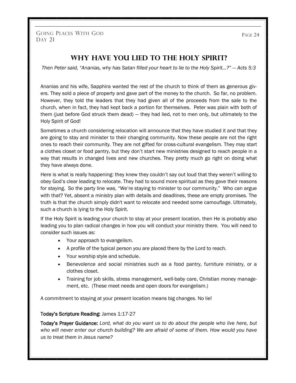GOING PLACES WITH GOD PAGE 24 DAY 21

## **Why Have You Lied to the Holy Spirit?**

*Then Peter said, "Ananias, why has Satan filled your heart to lie to the Holy Spirit…?" — Acts 5:3*

Ananias and his wife, Sapphira wanted the rest of the church to think of them as generous givers. They sold a piece of property and gave part of the money to the church. So far, no problem. However, they told the leaders that they had given all of the proceeds from the sale to the church, when in fact, they had kept back a portion for themselves. Peter was plain with both of them (just before God struck them dead) — they had lied, not to men only, but ultimately to the Holy Spirit of God!

Sometimes a church considering relocation will announce that they have studied it and that they are going to stay and minister to their changing community. Now these people are not the right ones to reach their community. They are not gifted for cross-cultural evangelism. They may start a clothes closet or food pantry, but they don't start new ministries designed to reach people in a way that results in changed lives and new churches. They pretty much go right on doing what they have always done.

Here is what is really happening: they knew they couldn't say out loud that they weren't willing to obey God's clear leading to relocate. They had to sound more spiritual as they gave their reasons for staying. So the party line was, "We're staying to minister to our community." Who can argue with that? Yet, absent a ministry plan with details and deadlines, these are empty promises. The truth is that the church simply didn't want to relocate and needed some camouflage. Ultimately, such a church is lying to the Holy Spirit.

If the Holy Spirit is leading your church to stay at your present location, then He is probably also leading you to plan radical changes in how you will conduct your ministry there. You will need to consider such issues as:

- Your approach to evangelism.
- A profile of the typical person you are placed there by the Lord to reach.
- Your worship style and schedule.
- Benevolence and social ministries such as a food pantry, furniture ministry, or a clothes closet.
- Training for job skills, stress management, well-baby care, Christian money management, etc. (These meet needs and open doors for evangelism.)

A commitment to staying at your present location means big changes. No lie!

#### Today's Scripture Reading: James 1:17-27

Today's Prayer Guidance: *Lord, what do you want us to do about the people who live here, but who will never enter our church building? We are afraid of some of them. How would you have us to treat them in Jesus name?*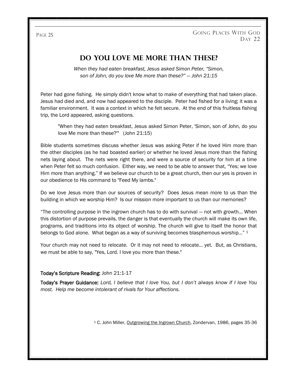## **Do You Love Me More Than These?**

*When they had eaten breakfast, Jesus asked Simon Peter, "Simon, son of John, do you love Me more than these?" — John 21:15*

Peter had gone fishing. He simply didn't know what to make of everything that had taken place. Jesus had died and, and now had appeared to the disciple. Peter had fished for a living; it was a familiar environment. It was a context in which he felt secure. At the end of this fruitless fishing trip, the Lord appeared, asking questions.

"When they had eaten breakfast, Jesus asked Simon Peter, 'Simon, son of John, do you love Me more than these?'" (John 21:15)

Bible students sometimes discuss whether Jesus was asking Peter if he loved Him more than the other disciples (as he had boasted earlier) or whether he loved Jesus more than the fishing nets laying about. The nets were right there, and were a source of security for him at a time when Peter felt so much confusion. Either way, we need to be able to answer that, "Yes; we love Him more than anything." If we believe our church to be a great church, then our yes is proven in our obedience to His command to "Feed My lambs."

Do we love Jesus more than our sources of security? Does Jesus mean more to us than the building in which we worship Him? Is our mission more important to us than our memories?

"The controlling purpose in the ingrown church has to do with survival — not with growth… When this distortion of purpose prevails, the danger is that eventually the church will make its own life, programs, and traditions into its object of worship. The church will give to itself the honor that belongs to God alone. What began as a way of surviving becomes blasphemous worship..." <sup>1</sup>

Your church may not need to relocate. Or it may not need to relocate… yet. But, as Christians, we must be able to say, "Yes, Lord. I love you more than these."

#### Today's Scripture Reading: John 21:1-17

Today's Prayer Guidance: *Lord, I believe that I love You, but I don't always know if I love You most. Help me become intolerant of rivals for Your affections.* 

<sup>1</sup> C. John Miller, Outgrowing the Ingrown Church, Zondervan, 1986, pages 35-36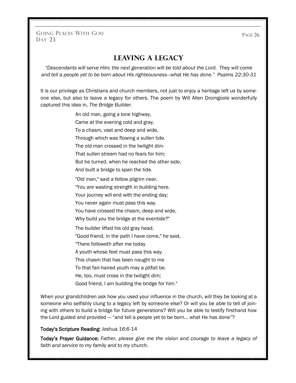GOING PLACES WITH GOD DAY 23

## **Leaving a Legacy**

*"Descendants will serve Him; the next generation will be told about the Lord. They will come and tell a people yet to be born about His righteousness—what He has done." Psalms 22:30-31*

It is our privilege as Christians and church members, not just to enjoy a heritage left us by someone else, but also to leave a legacy for others. The poem by Will Allen Dromgoole wonderfully captured this idea in, *The Bridge Builder*.

An old man, going a lone highway,

Came at the evening cold and gray,

To a chasm, vast and deep and wide,

Through which was flowing a sullen tide.

The old man crossed in the twilight dim-

That sullen stream had no fears for him;

But he turned, when he reached the other side,

And built a bridge to span the tide.

"Old man," said a fellow pilgrim near,

"You are wasting strength in building here.

Your journey will end with the ending day;

You never again must pass this way.

You have crossed the chasm, deep and wide,

Why build you the bridge at the eventide?"

The builder lifted his old gray head.

"Good friend, in the path I have come," he said,

"There followeth after me today

A youth whose feet must pass this way.

This chasm that has been naught to me

To that fair-haired youth may a pitfall be.

He, too, must cross in the twilight dim;

Good friend, I am building the bridge for him."

When your grandchildren ask how you used your influence in the church, will they be looking at a someone who selfishly clung to a legacy left by someone else? Or will you be able to tell of joining with others to build a bridge for future generations? Will you be able to testify firsthand how the Lord guided and provided — "and tell a people yet to be born… what He has done"?

#### Today's Scripture Reading: Joshua 16:6-14

Today's Prayer Guidance: *Father, please give me the vision and courage to leave a legacy of faith and service to my family and to my church.*

PAGE 26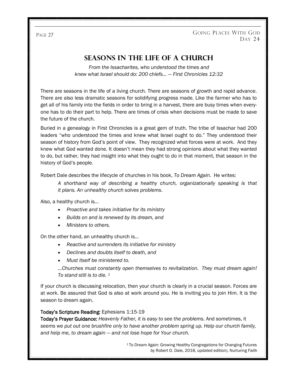# **Seasons in the Life of a Church**

*From the Issacharites, who understood the times and knew what Israel should do: 200 chiefs… — First Chronicles 12:32*

There are seasons in the life of a living church. There are seasons of growth and rapid advance. There are also less dramatic seasons for solidifying progress made. Like the farmer who has to get all of his family into the fields in order to bring in a harvest, there are busy times when everyone has to do their part to help. There are times of crisis when decisions must be made to save the future of the church.

Buried in a genealogy in First Chronicles is a great gem of truth. The tribe of Issachar had 200 leaders "who understood the times and knew what Israel ought to do." They understood their season of history from God's point of view. They recognized what forces were at work. And they knew what God wanted done. It doesn't mean they had strong opinions about what they wanted to do, but rather, they had insight into what they ought to do in that moment, that season in the history of God's people.

Robert Dale describes the lifecycle of churches in his book, *To Dream Again*. He writes:

*A shorthand way of describing a healthy church, organizationally speaking is that it plans. An unhealthy church solves problems.*

Also, a healthy church is…

- *Proactive and takes initiative for its ministry*
- *Builds on and is renewed by its dream, and*
- *Ministers to others.*

On the other hand, an unhealthy church is…

- *Reactive and surrenders its initiative for ministry*
- *Declines and doubts itself to death, and*
- *Must itself be ministered to.*

*…Churches must constantly open themselves to revitalization. They must dream again! To stand still is to die. <sup>1</sup>*

If your church is discussing relocation, then your church is clearly in a crucial season. Forces are at work. Be assured that God is also at work around you. He is inviting you to join Him. It is the season to dream again.

#### Today's Scripture Reading: Ephesians 1:15-19

Today's Prayer Guidance: *Heavenly Father, it is easy to see the problems.* And sometimes, it *seems we put out one brushfire only to have another problem spring up. Help our church family, and help me, to dream again — and not lose hope for Your church.* 

> <sup>1</sup>To Dream Again: Growing Healthy Congregations for Changing Futures by Robert D. Dale, 2018, updated edition), Nurturing Faith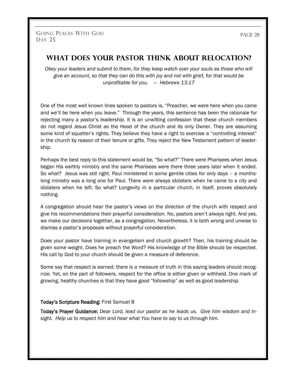## **What Does Your Pastor Think About Relocation?**

*Obey your leaders and submit to them, for they keep watch over your souls as those who will give an account, so that they can do this with joy and not with grief, for that would be unprofitable for you. — Hebrews 13:17*

One of the most well known lines spoken to pastors is, "Preacher, we were here when you came and we'll be here when you leave." Through the years, this sentence has been the rationale for rejecting many a pastor's leadership. It is an unwitting confession that these church members do not regard Jesus Christ as the Head of the church and its only Owner. They are assuming some kind of squatter's rights. They believe they have a right to exercise a "controlling interest" in the church by reason of their tenure or gifts. They reject the New Testament pattern of leadership.

Perhaps the best reply to this statement would be, "So what?" There were Pharisees when Jesus began His earthly ministry and the same Pharisees were there three years later when it ended. So what? Jesus was still right. Paul ministered in some gentile cities for only days – a monthslong ministry was a long one for Paul. There were always idolaters when he came to a city and idolaters when he left. So what? Longevity in a particular church, in itself, proves absolutely nothing.

A congregation should hear the pastor's views on the direction of the church with respect and give his recommendations their prayerful consideration. No, pastors aren't always right. And yes, we make our decisions together, as a congregation. Nevertheless, it is both wrong and unwise to dismiss a pastor's proposals without prayerful consideration.

Does your pastor have training in evangelism and church growth? Then, his training should be given some weight. Does he preach the Word? His knowledge of the Bible should be respected. His call by God to your church should be given a measure of deference.

Some say that respect is earned; there is a measure of truth in this saying leaders should recognize. Yet, on the part of followers, respect for the office is either given or withheld. One mark of growing, healthy churches is that they have good "followship" as well as good leadership.

#### Today's Scripture Reading: First Samuel 8

Today's Prayer Guidance: *Dear Lord, lead our pastor as he leads us. Give him wisdom and insight. Help us to respect him and hear what You have to say to us through him.*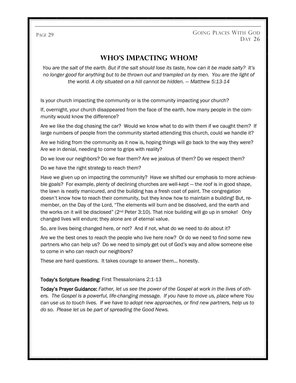PAGE 29 GOING PLACES WITH GOD DAY 26

## **Who's Impacting Whom?**

*You are the salt of the earth. But if the salt should lose its taste, how can it be made salty? It's no longer good for anything but to be thrown out and trampled on by men. You are the light of the world. A city situated on a hill cannot be hidden. — Matthew 5:13-14*

Is your church impacting the community or is the community impacting your church?

If, overnight, your church disappeared from the face of the earth, how many people in the community would know the difference?

Are we like the dog chasing the car? Would we know what to do with them if we caught them? If large numbers of people from the community started attending this church, could we handle it?

Are we hiding from the community as it now is, hoping things will go back to the way they were? Are we in denial, needing to come to grips with reality?

Do we love our neighbors? Do we fear them? Are we jealous of them? Do we respect them?

Do we have the right strategy to reach them?

Have we given up on impacting the community? Have we shifted our emphasis to more achievable goals? For example, plenty of declining churches are well-kept — the roof is in good shape, the lawn is neatly manicured, and the building has a fresh coat of paint. The congregation doesn't know how to reach their community, but they know how to maintain a building! But, remember, on the Day of the Lord, "The elements will burn and be dissolved, and the earth and the works on it will be disclosed"  $(2<sup>nd</sup> Peter 3:10)$ . That nice building will go up in smoke! Only changed lives will endure; they alone are of eternal value.

So, are lives being changed here, or not? And if not, what do we need to do about it?

Are we the best ones to reach the people who live here now? Or do we need to find some new partners who can help us? Do we need to simply get out of God's way and allow someone else to come in who can reach our neighbors?

These are hard questions. It takes courage to answer them… honestly.

#### Today's Scripture Reading: First Thessalonians 2:1-13

Today's Prayer Guidance: *Father, let us see the power of the Gospel at work in the lives of others. The Gospel is a powerful, life-changing message. If you have to move us, place where You can use us to touch lives. If we have to adopt new approaches, or find new partners, help us to do so. Please let us be part of spreading the Good News.*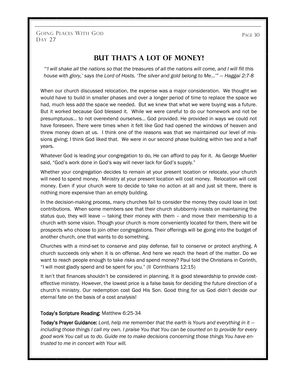GOING PLACES WITH GOD DAY 27

**BUT THAT'S A LOT OF MONEY!** 

*"'I will shake all the nations so that the treasures of all the nations will come, and I will fill this house with glory,' says the Lord of Hosts. 'The silver and gold belong to Me…'" — Haggai 2:7-8*

When our church discussed relocation, the expense was a major consideration. We thought we would have to build in smaller phases and over a longer period of time to replace the space we had, much less add the space we needed. But we knew that what we were buying was a future. But it worked because God blessed it. While we were careful to do our homework and not be presumptuous… to not overextend ourselves… God provided. He provided in ways we could not have foreseen. There were times when it felt like God had opened the windows of heaven and threw money down at us. I think one of the reasons was that we maintained our level of missions giving; I think God liked that. We were in our second phase building within two and a half years.

Whatever God is leading your congregation to do, He can afford to pay for it. As George Mueller said, "God's work done in God's way will never lack for God's supply."

Whether your congregation decides to remain at your present location or relocate, your church will need to spend money. Ministry at your present location will cost money. Relocation will cost money. Even if your church were to decide to take no action at all and just sit there, there is nothing more expensive than an empty building.

In the decision-making process, many churches fail to consider the money they could lose in lost contributions. When some members see that their church stubbornly insists on maintaining the status quo, they will leave — taking their money with them – and move their membership to a church with some vision. Though your church is more conveniently located for them, there will be prospects who choose to join other congregations. Their offerings will be going into the budget of another church, one that wants to do something.

Churches with a mind-set to conserve and play defense, fail to conserve or protect anything. A church succeeds only when it is on offense. And here we reach the heart of the matter. Do we want to reach people enough to take risks and spend money? Paul told the Christians in Corinth, "I will most gladly spend and be spent for you." (II Corinthians 12:15)

It isn't that finances shouldn't be considered in planning. It is good stewardship to provide costeffective ministry. However, the lowest price is a false basis for deciding the future direction of a church's ministry. Our redemption cost God His Son. Good thing for us God didn't decide our eternal fate on the basis of a cost analysis!

#### Today's Scripture Reading: Matthew 6:25-34

Today's Prayer Guidance: *Lord, help me remember that the earth is Yours and everything in it including those things I call my own. I praise You that You can be counted on to provide for every good work You call us to do. Guide me to make decisions concerning those things You have entrusted to me in concert with Your will.*

PAGE 30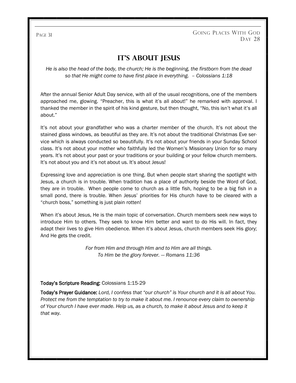GOING PLACES WITH GOD DAY 28

# **It's About Jesus**

*He is also the head of the body, the church; He is the beginning, the firstborn from the dead so that He might come to have first place in everything. – Colossians 1:18*

After the annual Senior Adult Day service, with all of the usual recognitions, one of the members approached me, glowing. "Preacher, this is what it's all about!" he remarked with approval. I thanked the member in the spirit of his kind gesture, but then thought, "No, this isn't what it's all about."

It's not about your grandfather who was a charter member of the church. It's not about the stained glass windows, as beautiful as they are. It's not about the traditional Christmas Eve service which is always conducted so beautifully. It's not about your friends in your Sunday School class. It's not about your mother who faithfully led the Women's Missionary Union for so many years. It's not about your past or your traditions or your building or your fellow church members. It's not about you and it's not about us. It's about Jesus!

Expressing love and appreciation is one thing. But when people start sharing the spotlight with Jesus, a church is in trouble. When tradition has a place of authority beside the Word of God, they are in trouble. When people come to church as a little fish, hoping to be a big fish in a small pond, there is trouble. When Jesus' priorities for His church have to be cleared with a "church boss," something is just plain rotten!

When it's about Jesus, He is the main topic of conversation. Church members seek new ways to introduce Him to others. They seek to know Him better and want to do His will. In fact, they adapt their lives to give Him obedience. When it's about Jesus, church members seek His glory; And He gets the credit.

> *For from Him and through Him and to Him are all things. To Him be the glory forever. — Romans 11:36*

#### Today's Scripture Reading: Colossians 1:15-29

Today's Prayer Guidance: *Lord, I confess that "our church" is Your church and it is all about You. Protect me from the temptation to try to make it about me. I renounce every claim to ownership of Your church I have ever made. Help us, as a church, to make it about Jesus and to keep it that way.*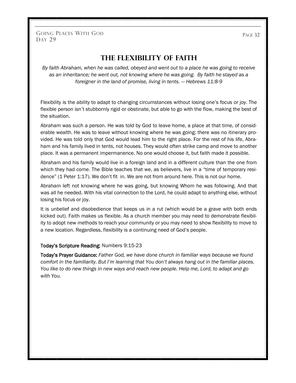GOING PLACES WITH GOD DAY 29

**The Flexibility of Faith**

*By faith Abraham, when he was called, obeyed and went out to a place he was going to receive as an inheritance; he went out, not knowing where he was going. By faith he stayed as a foreigner in the land of promise, living in tents. — Hebrews 11:8-9*

Flexibility is the ability to adapt to changing circumstances without losing one's focus or joy. The flexible person isn't stubbornly rigid or obstinate, but able to go with the flow, making the best of the situation.

Abraham was such a person. He was told by God to leave home, a place at that time, of considerable wealth. He was to leave without knowing where he was going; there was no itinerary provided. He was told only that God would lead him to the right place. For the rest of his life, Abraham and his family lived in tents, not houses. They would often strike camp and move to another place. It was a permanent impermanence. No one would choose it, but faith made it possible.

Abraham and his family would live in a foreign land and in a different culture than the one from which they had come. The Bible teaches that we, as believers, live in a "time of temporary residence" (1 Peter 1:17). We don't fit in. We are not from around here. This is not our home.

Abraham left not knowing where he was going, but knowing Whom he was following. And that was all he needed. With his vital connection to the Lord, he could adapt to anything else, without losing his focus or joy.

It is unbelief and disobedience that keeps us in a rut (which would be a grave with both ends kicked out). Faith makes us flexible. As a church member you may need to demonstrate flexibility to adopt new methods to reach your community or you may need to show flexibility to move to a new location. Regardless, flexibility is a continuing need of God's people.

#### Today's Scripture Reading: Numbers 9:15-23

Today's Prayer Guidance: *Father God, we have done church in familiar ways because we found comfort in the familiarity. But I'm learning that You don't always hang out in the familiar places. You like to do new things in new ways and reach new people. Help me, Lord, to adapt and go with You.* 

PAGE 32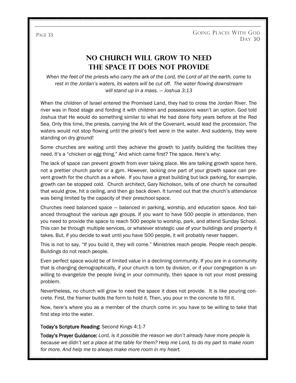# **No Church Will Grow to Need the Space It Does Not Provide**

*When the feet of the priests who carry the ark of the Lord, the Lord of all the earth, come to rest in the Jordan's waters, its waters will be cut off. The water flowing downstream will stand up in a mass. — Joshua 3:13*

When the children of Israel entered the Promised Land, they had to cross the Jordan River. The river was in flood stage and fording it with children and possessions wasn't an option. God told Joshua that He would do something similar to what He had done forty years before at the Red Sea. Only this time, the priests, carrying the Ark of the Covenant, would lead the procession. The waters would not stop flowing until the priest's feet were in the water. And suddenly, they were standing on dry ground!

Some churches are waiting until they achieve the growth to justify building the facilities they need. It's a "chicken or egg thing." And which came first? The space. Here's why:

The lack of space can prevent growth from ever taking place. We are talking growth space here, not a prettier church parlor or a gym. However, lacking one part of your growth space can prevent growth for the church as a whole. If you have a great building but lack parking, for example, growth can be stopped cold. Church architect, Gary Nicholson, tells of one church he consulted that would grow, hit a ceiling, and then go back down. It turned out that the church's attendance was being limited by the capacity of their preschool space.

Churches need balanced space — balanced in parking, worship, and education space. And balanced throughout the various age groups. If you want to have 500 people in attendance, then you need to provide the space to reach 500 people to worship, park, and attend Sunday School. This can be through multiple services, or whatever strategic use of your buildings and property it takes. But, if you decide to wait until you have 500 people, it will probably never happen.

This is not to say, "If you build it, they will come." Ministries reach people. People reach people. Buildings do not reach people.

Even perfect space would be of limited value in a declining community. If you are in a community that is changing demographically, if your church is torn by division, or if your congregation is unwilling to evangelize the people living in your community, then space is not your most pressing problem.

Nevertheless, no church will grow to need the space it does not provide. It is like pouring concrete. First, the framer builds the form to hold it. Then, you pour in the concrete to fill it.

Now, here's where you as a member of the church come in: you have to be willing to take that first step into the water.

#### Today's Scripture Reading: Second Kings 4:1-7

Today's Prayer Guidance: *Lord, is it possible the reason we don't already have more people is because we didn't set a place at the table for them? Help me Lord, to do my part to make room for more. And help me to always make more room in my heart.*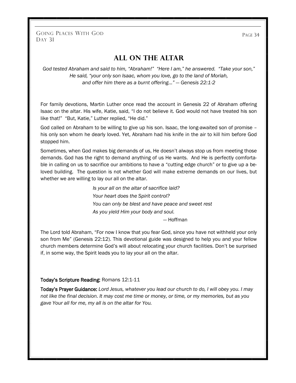GOING PLACES WITH GOD PAGE 34 DAY 31

## **All on the Altar**

*God tested Abraham and said to him, "Abraham!" "Here I am," he answered. "Take your son," He said, "your only son Isaac, whom you love, go to the land of Moriah, and offer him there as a burnt offering…" — Genesis 22:1-2*

For family devotions, Martin Luther once read the account in Genesis 22 of Abraham offering Isaac on the altar. His wife, Katie, said, "I do not believe it. God would not have treated his son like that!" "But, Katie," Luther replied, "He did."

God called on Abraham to be willing to give up his son. Isaac, the long-awaited son of promise – his only son whom he dearly loved. Yet, Abraham had his knife in the air to kill him before God stopped him.

Sometimes, when God makes big demands of us, He doesn't always stop us from meeting those demands. God has the right to demand anything of us He wants. And He is perfectly comfortable in calling on us to sacrifice our ambitions to have a "cutting edge church" or to give up a beloved building. The question is not whether God will make extreme demands on our lives, but whether we are willing to lay our all on the altar.

> *Is your all on the altar of sacrifice laid? Your heart does the Spirit control? You can only be blest and have peace and sweet rest As you yield Him your body and soul.*

— Hoffman

The Lord told Abraham, "For now I know that you fear God, since you have not withheld your only son from Me" (Genesis 22:12). This devotional guide was designed to help you and your fellow church members determine God's will about relocating your church facilities. Don't be surprised if, in some way, the Spirit leads you to lay your all on the altar.

#### Today's Scripture Reading: Romans 12:1-11

Today's Prayer Guidance: *Lord Jesus, whatever you lead our church to do, I will obey you. I may not like the final decision. It may cost me time or money, or time, or my memories, but as you gave Your all for me, my all is on the altar for You.*